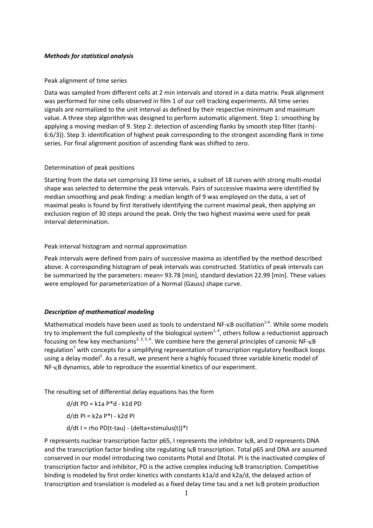## *Methods for statistical analysis*

#### Peak alignment of time series

Data was sampled from different cells at 2 min intervals and stored in a data matrix. Peak alignment was performed for nine cells observed in film 1 of our cell tracking experiments. All time series signals are normalized to the unit interval as defined by their respective minimum and maximum value. A three step algorithm was designed to perform automatic alignment. Step 1: smoothing by applying a moving median of 9. Step 2: detection of ascending flanks by smooth step filter (tanh(- 6:6/3)). Step 3: identification of highest peak corresponding to the strongest ascending flank in time series. For final alignment position of ascending flank was shifted to zero.

## Determination of peak positions

Starting from the data set comprising 33 time series, a subset of 18 curves with strong multi-modal shape was selected to determine the peak intervals. Pairs of successive maxima were identified by median smoothing and peak finding: a median length of 9 was employed on the data, a set of maximal peaks is found by first iteratively identifying the current maximal peak, then applying an exclusion region of 30 steps around the peak. Only the two highest maxima were used for peak interval determination.

#### Peak interval histogram and normal approximation

Peak intervals were defined from pairs of successive maxima as identified by the method described above. A corresponding histogram of peak intervals was constructed. Statistics of peak intervals can be summarized by the parameters: mean= 93.78 [min], standard deviation 22.99 [min]. These values were employed for parameterization of a Normal (Gauss) shape curve.

## *Description of mathematical modeling*

Mathematical models have been used as tools to understand NF- $\kappa$ B oscillation<sup>1-4</sup>. While some models try to implement the full complexity of the biological system<sup>1, 4</sup>, others follow a reductionist approach focusing on few key mechanisms<sup>2, 3, 5, 6</sup>. We combine here the general principles of canonic NF- $\kappa$ B regulation<sup>7</sup> with concepts for a simplifying representation of transcription regulatory feedback loops using a delay model<sup>5</sup>. As a result, we present here a highly focused three variable kinetic model of NF-KB dynamics, able to reproduce the essential kinetics of our experiment.

The resulting set of differential delay equations has the form

d/dt PD = k1a P\*d - k1d PD d/dt PI = k2a P\*I - k2d PI d/dt I = rho PD(t-tau) - (delta+stimulus(t))\*I

P represents nuclear transcription factor p65, I represents the inhibitor IKB, and D represents DNA and the transcription factor binding site regulating IKB transcription. Total p65 and DNA are assumed conserved in our model introducing two constants Ptotal and Dtotal. PI is the inactivated complex of transcription factor and inhibitor, PD is the active complex inducing I<sub>KB</sub> transcription. Competitive binding is modeled by first order kinetics with constants k1a/d and k2a/d, the delayed action of transcription and translation is modeled as a fixed delay time tau and a net IKB protein production